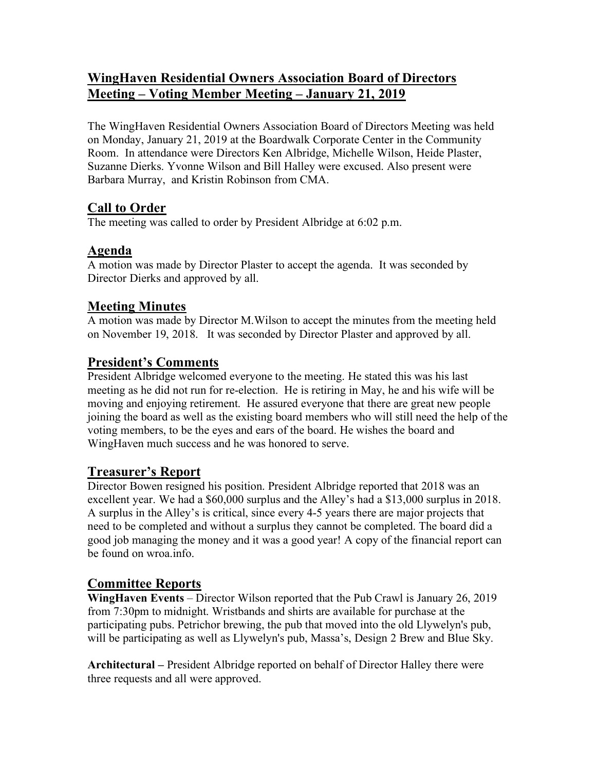# **WingHaven Residential Owners Association Board of Directors Meeting – Voting Member Meeting – January 21, 2019**

The WingHaven Residential Owners Association Board of Directors Meeting was held on Monday, January 21, 2019 at the Boardwalk Corporate Center in the Community Room. In attendance were Directors Ken Albridge, Michelle Wilson, Heide Plaster, Suzanne Dierks. Yvonne Wilson and Bill Halley were excused. Also present were Barbara Murray, and Kristin Robinson from CMA.

# **Call to Order**

The meeting was called to order by President Albridge at 6:02 p.m.

## **Agenda**

A motion was made by Director Plaster to accept the agenda. It was seconded by Director Dierks and approved by all.

## **Meeting Minutes**

A motion was made by Director M.Wilson to accept the minutes from the meeting held on November 19, 2018. It was seconded by Director Plaster and approved by all.

## **President's Comments**

President Albridge welcomed everyone to the meeting. He stated this was his last meeting as he did not run for re-election. He is retiring in May, he and his wife will be moving and enjoying retirement. He assured everyone that there are great new people joining the board as well as the existing board members who will still need the help of the voting members, to be the eyes and ears of the board. He wishes the board and WingHaven much success and he was honored to serve.

### **Treasurer's Report**

Director Bowen resigned his position. President Albridge reported that 2018 was an excellent year. We had a \$60,000 surplus and the Alley's had a \$13,000 surplus in 2018. A surplus in the Alley's is critical, since every 4-5 years there are major projects that need to be completed and without a surplus they cannot be completed. The board did a good job managing the money and it was a good year! A copy of the financial report can be found on wroa.info.

# **Committee Reports**

**WingHaven Events** – Director Wilson reported that the Pub Crawl is January 26, 2019 from 7:30pm to midnight. Wristbands and shirts are available for purchase at the participating pubs. Petrichor brewing, the pub that moved into the old Llywelyn's pub, will be participating as well as Llywelyn's pub, Massa's, Design 2 Brew and Blue Sky.

**Architectural –** President Albridge reported on behalf of Director Halley there were three requests and all were approved.